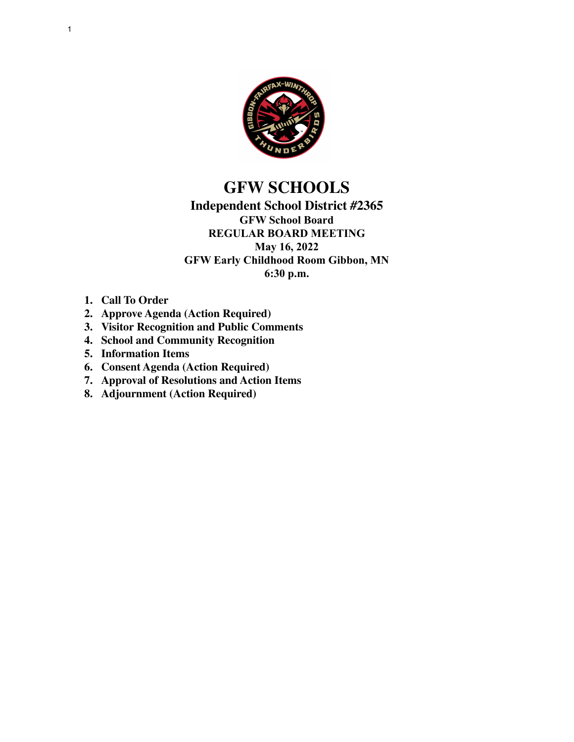

# **GFW SCHOOLS**

### **Independent School District #2365 GFW School Board REGULAR BOARD MEETING May 16, 2022 GFW Early Childhood Room Gibbon, MN 6:30 p.m.**

- **1. Call To Order**
- **2. Approve Agenda (Action Required)**
- **3. Visitor Recognition and Public Comments**
- **4. School and Community Recognition**
- **5. Information Items**
- **6. Consent Agenda (Action Required)**
- **7. Approval of Resolutions and Action Items**
- **8. Adjournment (Action Required)**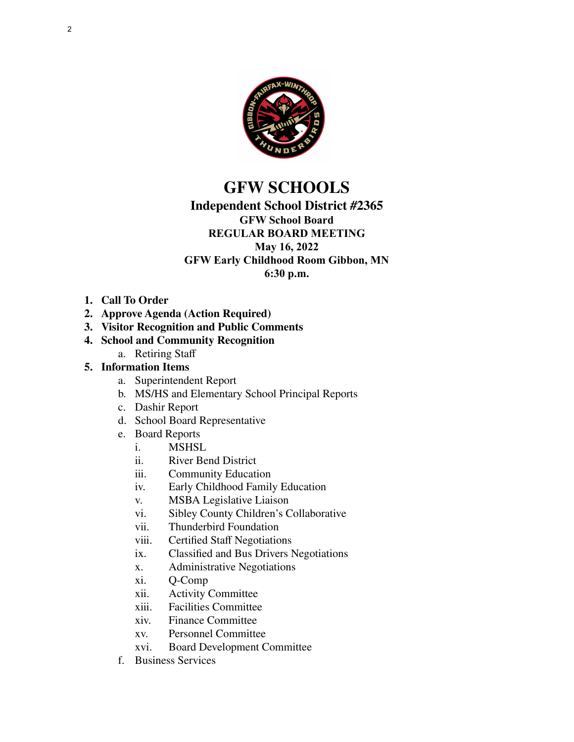

# **GFW SCHOOLS**

## **Independent School District #2365**

# **GFW School Board**

#### **REGULAR BOARD MEETING May 16, 2022 GFW Early Childhood Room Gibbon, MN**

**6:30 p.m.**

- **1. Call To Order**
- **2. Approve Agenda (Action Required)**
- **3. Visitor Recognition and Public Comments**
- **4. School and Community Recognition**
	- a. Retiring Staff

### **5. Information Items**

- a. Superintendent Report
- b. MS/HS and Elementary School Principal Reports
- c. Dashir Report
- d. School Board Representative
- e. Board Reports
	- i. MSHSL<br>ii. River Be
	- River Bend District
	- iii. Community Education
	- iv. Early Childhood Family Education
	- v. MSBA Legislative Liaison
	- vi. Sibley County Children's Collaborative
	- vii. Thunderbird Foundation
	- viii. Certified Staff Negotiations
	- ix. Classified and Bus Drivers Negotiations
	- x. Administrative Negotiations
	- xi. Q-Comp
	- xii. Activity Committee
	- xiii. Facilities Committee
	- xiv. Finance Committee
	- xv. Personnel Committee
	- xvi. Board Development Committee
- f. Business Services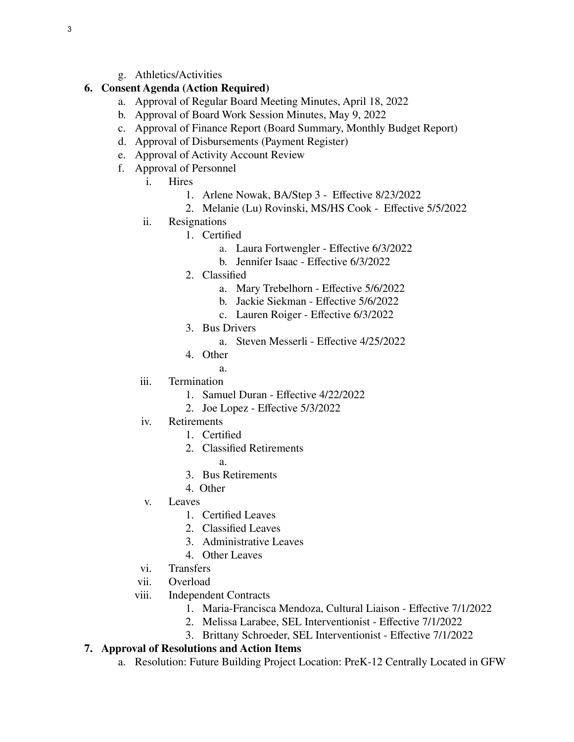g. Athletics/Activities

#### **6. Consent Agenda (Action Required)**

- a. Approval of Regular Board Meeting Minutes, April 18, 2022
- b. Approval of Board Work Session Minutes, May 9, 2022
- c. Approval of Finance Report (Board Summary, Monthly Budget Report)
- d. Approval of Disbursements (Payment Register)
- e. Approval of Activity Account Review
- f. Approval of Personnel
	- i. Hires
		- 1. Arlene Nowak, BA/Step 3 Effective 8/23/2022
		- 2. Melanie (Lu) Rovinski, MS/HS Cook Effective 5/5/2022
	- ii. Resignations
		- 1. Certified
			- a. Laura Fortwengler Effective 6/3/2022
			- b. Jennifer Isaac Effective 6/3/2022
		- 2. Classified
			- a. Mary Trebelhorn Effective 5/6/2022
			- b. Jackie Siekman Effective 5/6/2022
			- c. Lauren Roiger Effective 6/3/2022
		- 3. Bus Drivers
			- a. Steven Messerli Effective 4/25/2022
		- 4. Other
	- a. iii. Termination
		- 1. Samuel Duran Effective 4/22/2022
		- 2. Joe Lopez Effective 5/3/2022
	- iv. Retirements
		- 1. Certified
		- 2. Classified Retirements
		- a. 3. Bus Retirements
		- 4. Other
		-
	- v. Leaves
		- 1. Certified Leaves
		- 2. Classified Leaves
		- 3. Administrative Leaves
		- 4. Other Leaves
	- vi. Transfers
	- vii. Overload
	- viii. Independent Contracts
		- 1. Maria-Francisca Mendoza, Cultural Liaison Effective 7/1/2022
		- 2. Melissa Larabee, SEL Interventionist Effective 7/1/2022
		- 3. Brittany Schroeder, SEL Interventionist Effective 7/1/2022

### **7. Approval of Resolutions and Action Items**

a. Resolution: Future Building Project Location: PreK-12 Centrally Located in GFW